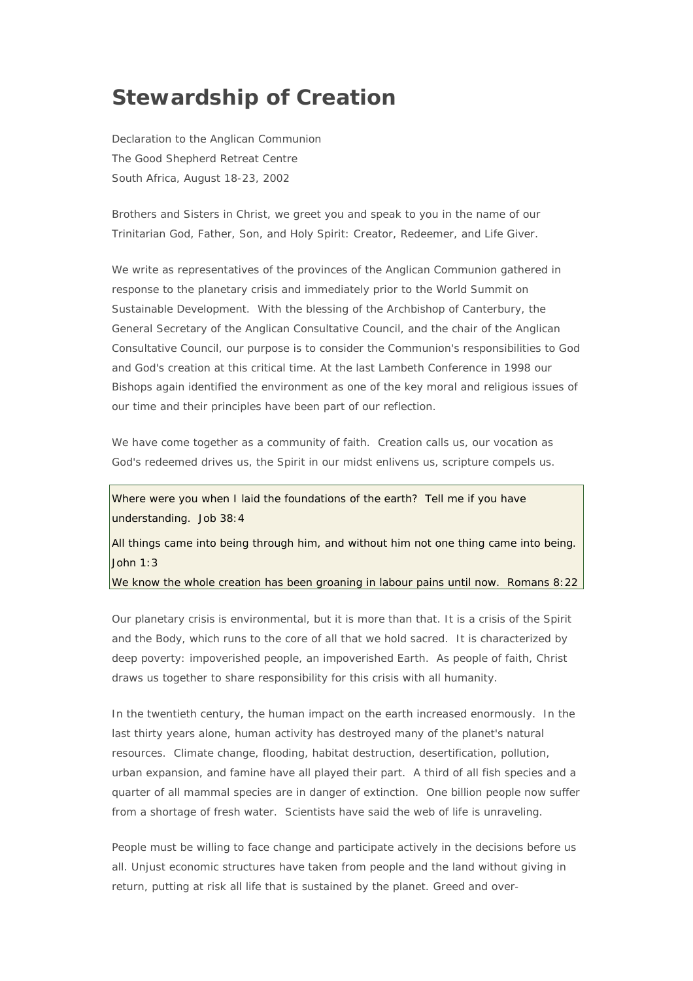## **Stewardship of Creation**

Declaration to the Anglican Communion The Good Shepherd Retreat Centre South Africa, August 18-23, 2002

Brothers and Sisters in Christ, we greet you and speak to you in the name of our Trinitarian God, Father, Son, and Holy Spirit: Creator, Redeemer, and Life Giver.

We write as representatives of the provinces of the Anglican Communion gathered in response to the planetary crisis and immediately prior to the World Summit on Sustainable Development. With the blessing of the Archbishop of Canterbury, the General Secretary of the Anglican Consultative Council, and the chair of the Anglican Consultative Council, our purpose is to consider the Communion's responsibilities to God and God's creation at this critical time. At the last Lambeth Conference in 1998 our Bishops again identified the environment as one of the key moral and religious issues of our time and their principles have been part of our reflection.

We have come together as a community of faith. Creation calls us, our vocation as God's redeemed drives us, the Spirit in our midst enlivens us, scripture compels us.

*Where were you when I laid the foundations of the earth? Tell me if you have understanding*. Job 38:4

*All things came into being through him, and without him not one thing came into being*. John 1:3

*We know the whole creation has been groaning in labour pains until now.* Romans 8:22

Our planetary crisis is environmental, but it is more than that. It is a crisis of the Spirit and the Body, which runs to the core of all that we hold sacred. It is characterized by deep poverty: impoverished people, an impoverished Earth. As people of faith, Christ draws us together to share responsibility for this crisis with all humanity.

In the twentieth century, the human impact on the earth increased enormously. In the last thirty years alone, human activity has destroyed many of the planet's natural resources. Climate change, flooding, habitat destruction, desertification, pollution, urban expansion, and famine have all played their part. A third of all fish species and a quarter of all mammal species are in danger of extinction. One billion people now suffer from a shortage of fresh water. Scientists have said the web of life is unraveling.

People must be willing to face change and participate actively in the decisions before us all. Unjust economic structures have taken from people and the land without giving in return, putting at risk all life that is sustained by the planet. Greed and over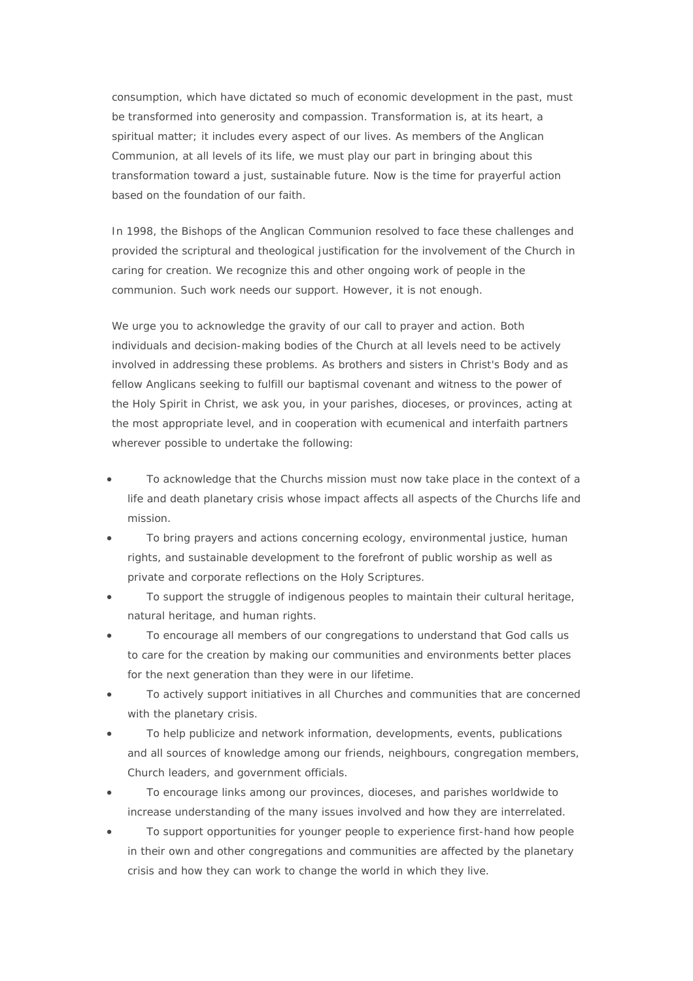consumption, which have dictated so much of economic development in the past, must be transformed into generosity and compassion. Transformation is, at its heart, a spiritual matter; it includes every aspect of our lives. As members of the Anglican Communion, at all levels of its life, we must play our part in bringing about this transformation toward a just, sustainable future. Now is the time for prayerful action based on the foundation of our faith.

In 1998, the Bishops of the Anglican Communion resolved to face these challenges and provided the scriptural and theological justification for the involvement of the Church in caring for creation. We recognize this and other ongoing work of people in the communion. Such work needs our support. However, it is not enough.

We urge you to acknowledge the gravity of our call to prayer and action. Both individuals and decision-making bodies of the Church at all levels need to be actively involved in addressing these problems. As brothers and sisters in Christ's Body and as fellow Anglicans seeking to fulfill our baptismal covenant and witness to the power of the Holy Spirit in Christ, we ask you, in your parishes, dioceses, or provinces, acting at the most appropriate level, and in cooperation with ecumenical and interfaith partners wherever possible to undertake the following:

- To acknowledge that the Churchs mission must now take place in the context of a life and death planetary crisis whose impact affects all aspects of the Churchs life and mission.
- To bring prayers and actions concerning ecology, environmental justice, human rights, and sustainable development to the forefront of public worship as well as private and corporate reflections on the Holy Scriptures.
- To support the struggle of indigenous peoples to maintain their cultural heritage, natural heritage, and human rights.
- To encourage all members of our congregations to understand that God calls us to care for the creation by making our communities and environments better places for the next generation than they were in our lifetime.
- To actively support initiatives in all Churches and communities that are concerned with the planetary crisis.
- To help publicize and network information, developments, events, publications and all sources of knowledge among our friends, neighbours, congregation members, Church leaders, and government officials.
- To encourage links among our provinces, dioceses, and parishes worldwide to increase understanding of the many issues involved and how they are interrelated.
- To support opportunities for younger people to experience first-hand how people in their own and other congregations and communities are affected by the planetary crisis and how they can work to change the world in which they live.